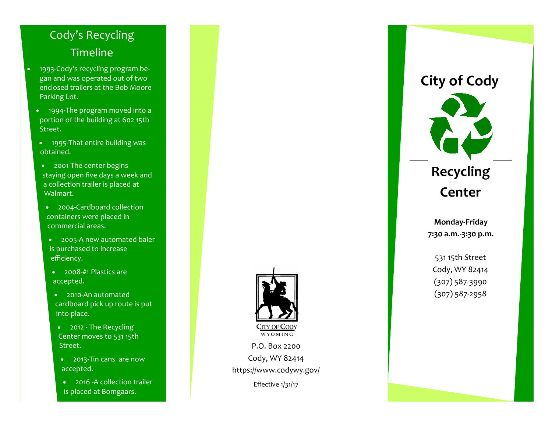### Cody's Recycling **Timeline**

- $\bullet$  1993‐Cody's recycling program be‐ gan and was operated out of two enclosed trailers at the Bob Moore Parking Lot.
	- 1994‐The program moved into a portion of the building at 602 15th Street.
	- 1995‐That entire building was obtained.
	- 2001-The center begins staying open five days a week and a collection trailer is placed at Walmart.
	- 2004-Cardboard collection containers were placed in commercial areas.
	- 2005‐A new automated baler is purchased to increase e fficiency.
	- 2008-#1 Plastics are accepted.
	- 2010-An automated cardboard pick up route is put into place.
	- 2012 The Recycling Center moves to 531 15th Street.
	- 2013-Tin cans are now accepted.
	- 2016 -A collection trailer is placed at Bomgaars.



P.O. Box 2200 Cody, WY 82414 https://www.codywy.gov/

Effective 1/31/17

### **City of Cody**



## **Recycling Center**

**Monday‐Friday 7:30 a.m.‐3:30 p.m.** 

531 15th Street Cody, WY 82414 (307) 587‐3990 (307) 587‐2958